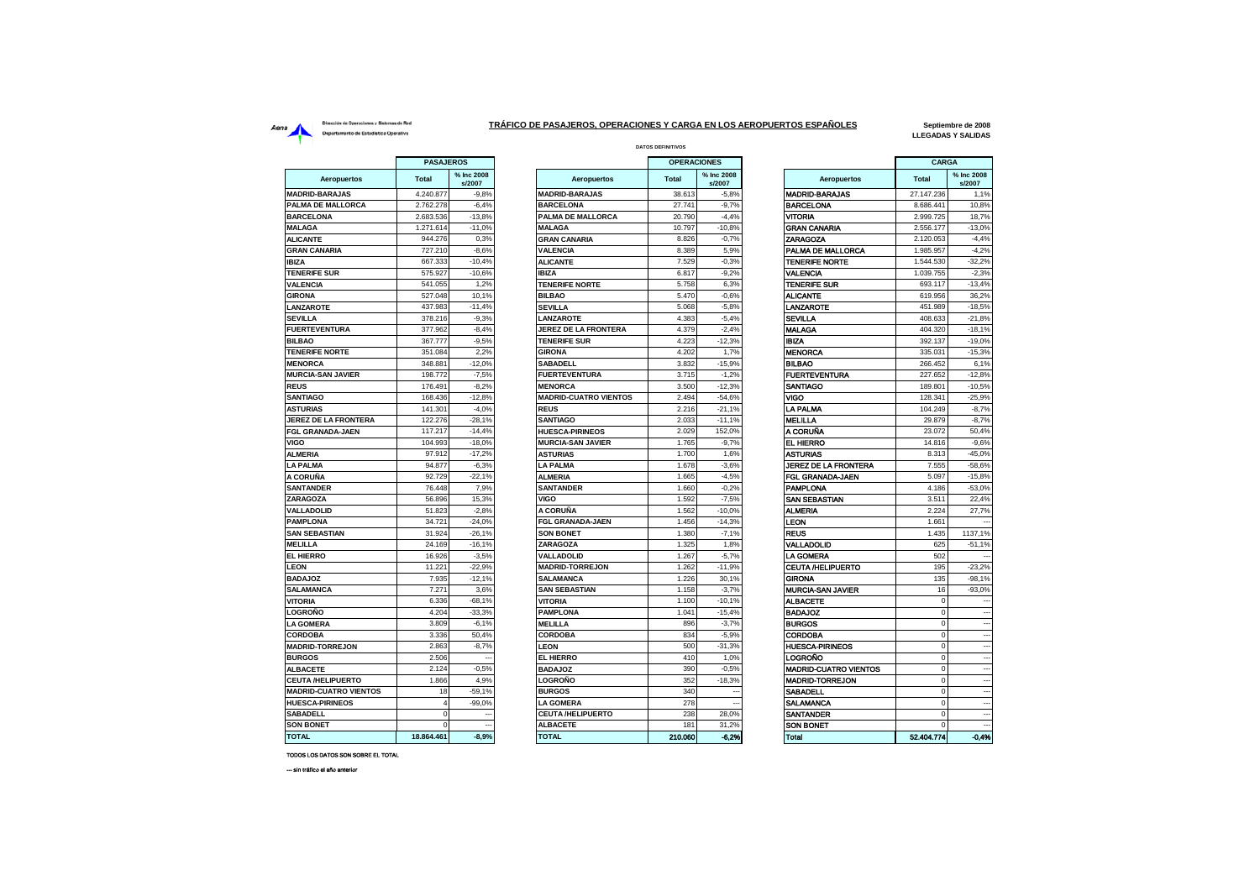## Dirección de Operaciones y Sistemas de Red **Aeria** Dirección de Operaciones y Sistemas de Red<br>Departamento de Estadística Operativa

 $\overline{a}$ 

and the

## **DATOS DEFINITIVOS TRÁFICO DE PASAJEROS, OPERACIONES Y CARGA EN LOS AEROPUERTOS ESPAÑOLES**

**Septiembre de 2008 LLEGADAS Y SALIDAS**

|                              | PASAJEROS      |                      |                              | <b>OPERACIONES</b> |                      |                              | CARGA        |                          |
|------------------------------|----------------|----------------------|------------------------------|--------------------|----------------------|------------------------------|--------------|--------------------------|
| <b>Aeropuertos</b>           | <b>Total</b>   | % Inc 2008<br>s/2007 | Aeropuertos                  | <b>Total</b>       | % Inc 2008<br>s/2007 | Aeropuertos                  | <b>Total</b> | % Inc 2008<br>s/2007     |
| <b>MADRID-BARAJAS</b>        | 4.240.877      | $-9,8%$              | <b>MADRID-BARAJAS</b>        | 38.613             | $-5,8%$              | <b>MADRID-BARAJAS</b>        | 27.147.236   | 1,1%                     |
| PALMA DE MALLORCA            | 2.762.278      | $-6,4%$              | <b>BARCELONA</b>             | 27.741             | $-9,7%$              | <b>BARCELONA</b>             | 8.686.441    | 10,8%                    |
| <b>BARCELONA</b>             | 2.683.536      | $-13,8%$             | PALMA DE MALLORCA            | 20.790             | $-4,4%$              | VITORIA                      | 2.999.725    | 18,7%                    |
| <b>MALAGA</b>                | 1.271.614      | $-11,0%$             | <b>MALAGA</b>                | 10.797             | $-10,8%$             | <b>GRAN CANARIA</b>          | 2.556.177    | $-13,0%$                 |
| <b>ALICANTE</b>              | 944.276        | 0,3%                 | <b>GRAN CANARIA</b>          | 8.826              | $-0.7%$              | ZARAGOZA                     | 2.120.053    | $-4,4%$                  |
| <b>GRAN CANARIA</b>          | 727.210        | $-8,6%$              | <b>VALENCIA</b>              | 8.389              | 5.9%                 | PALMA DE MALLORCA            | 1.985.957    | $-4.2%$                  |
| <b>IBIZA</b>                 | 667.333        | $-10,4%$             | <b>ALICANTE</b>              | 7.529              | $-0.3%$              | <b>TENERIFE NORTE</b>        | 1.544.530    | $-32,2%$                 |
| <b>TENERIFE SUR</b>          | 575.927        | $-10,6%$             | <b>IBIZA</b>                 | 6.817              | $-9,2%$              | VALENCIA                     | 1.039.755    | $-2,3%$                  |
| <b>VALENCIA</b>              | 541.055        | 1.2%                 | <b>TENERIFE NORTE</b>        | 5.758              | 6.3%                 | <b>TENERIFE SUR</b>          | 693.117      | $-13,4%$                 |
| <b>GIRONA</b>                | 527.048        | 10.1%                | <b>BILBAO</b>                | 5.470              | $-0.6%$              | <b>ALICANTE</b>              | 619.956      | 36,2%                    |
| LANZAROTE                    | 437.983        | $-11,4%$             | <b>SEVILLA</b>               | 5.068              | $-5,8%$              | LANZAROTE                    | 451.989      | $-18,5%$                 |
| <b>SEVILLA</b>               | 378.216        | $-9,3%$              | LANZAROTE                    | 4.383              | $-5,4%$              | <b>SEVILLA</b>               | 408.633      | $-21,8%$                 |
| <b>FUERTEVENTURA</b>         | 377.962        | $-8,4%$              | <b>JEREZ DE LA FRONTERA</b>  | 4.379              | $-2.4%$              | <b>MALAGA</b>                | 404.320      | $-18,1%$                 |
| <b>BILBAO</b>                | 367.777        | $-9,5%$              | <b>TENERIFE SUR</b>          | 4.223              | $-12,3%$             | <b>IBIZA</b>                 | 392.137      | $-19,0%$                 |
| <b>TENERIFE NORTE</b>        | 351.084        | 2,2%                 | <b>GIRONA</b>                | 4.202              | 1,7%                 | <b>MENORCA</b>               | 335.031      | $-15,3%$                 |
| <b>MENORCA</b>               | 348,881        | $-12,0%$             | <b>SABADELL</b>              | 3.832              | $-15.9%$             | <b>BILBAO</b>                | 266.452      | 6.1%                     |
| <b>MURCIA-SAN JAVIER</b>     | 198,772        | $-7.5%$              | <b>FUERTEVENTURA</b>         | 3.715              | $-1.2%$              | <b>FUERTEVENTURA</b>         | 227.652      | $-12.8%$                 |
| <b>REUS</b>                  | 176.491        | $-8,2%$              | <b>MENORCA</b>               | 3.500              | $-12,3%$             | SANTIAGO                     | 189.801      | $-10,5%$                 |
| <b>SANTIAGO</b>              | 168.436        | $-12,8%$             | <b>MADRID-CUATRO VIENTOS</b> | 2.494              | $-54,6%$             | VIGO                         | 128.341      | $-25,9%$                 |
| <b>ASTURIAS</b>              | 141.301        | $-4,0%$              | <b>REUS</b>                  | 2.216              | $-21,1%$             | <b>LA PALMA</b>              | 104.249      | $-8,7%$                  |
| <b>JEREZ DE LA FRONTERA</b>  | 122.276        | $-28,1%$             | <b>SANTIAGO</b>              | 2.033              | $-11,1%$             | <b>MELILLA</b>               | 29.879       | $-8,7%$                  |
| <b>FGL GRANADA-JAEN</b>      | 117.217        | $-14,4%$             | <b>HUESCA-PIRINEOS</b>       | 2.029              | 152,0%               | A CORUÑA                     | 23.072       | 50,4%                    |
| <b>VIGO</b>                  | 104.993        | $-18.0%$             | <b>MURCIA-SAN JAVIER</b>     | 1.765              | $-9.7%$              | <b>EL HIERRO</b>             | 14.816       | $-9,6%$                  |
| <b>ALMERIA</b>               | 97.912         | $-17.2%$             | <b>ASTURIAS</b>              | 1.700              | 1.6%                 | ASTURIAS                     | 8.313        | $-45,0%$                 |
| <b>LA PALMA</b>              | 94.877         | $-6,3%$              | <b>LA PALMA</b>              | 1.678              | $-3,6%$              | JEREZ DE LA FRONTERA         | 7.555        | $-58,6%$                 |
| A CORUÑA                     | 92.729         | $-22.1%$             | <b>ALMERIA</b>               | 1.665              | $-4,5%$              | FGL GRANADA-JAEN             | 5.097        | $-15,8%$                 |
| <b>SANTANDER</b>             | 76.448         | 7,9%                 | <b>SANTANDER</b>             | 1.660              | $-0,2%$              | <b>PAMPLONA</b>              | 4.186        | $-53,0%$                 |
| <b>ZARAGOZA</b>              | 56.896         | 15,3%                | VIGO                         | 1.592              | $-7,5%$              | SAN SEBASTIAN                | 3.511        | 22,4%                    |
| <b>VALLADOLID</b>            | 51.823         | $-2,8%$              | A CORUÑA                     | 1.562              | $-10.0%$             | <b>ALMERIA</b>               | 2.224        | 27,7%                    |
| <b>PAMPLONA</b>              | 34.721         | $-24.0%$             | FGL GRANADA-JAEN             | 1.456              | $-14.3%$             | LEON                         | 1.66         |                          |
| <b>SAN SEBASTIAN</b>         | 31.924         | $-26,1%$             | <b>SON BONET</b>             | 1.380              | $-7,1%$              | <b>REUS</b>                  | 1.435        | 1137,1%                  |
| <b>MELILLA</b>               | 24.169         | $-16.1%$             | ZARAGOZA                     | 1.325              | 1.8%                 | VALLADOLID                   | 625          | $-51.1%$                 |
| EL HIERRO                    | 16.926         | $-3,5%$              | <b>VALLADOLID</b>            | 1.267              | $-5,7%$              | <b>LA GOMERA</b>             | 502          |                          |
| <b>LEON</b>                  | 11.221         | $-22,9%$             | <b>MADRID-TORREJON</b>       | 1.262              | $-11,9%$             | <b>CEUTA /HELIPUERTO</b>     | 195          | $-23,2%$                 |
| <b>BADAJOZ</b>               | 7.935          | $-12,1%$             | <b>SALAMANCA</b>             | 1.226              | 30,1%                | <b>GIRONA</b>                | 135          | $-98,1%$                 |
| <b>SALAMANCA</b>             | 7.271          | 3,6%                 | <b>SAN SEBASTIAN</b>         | 1.158              | $-3.7%$              | <b>MURCIA-SAN JAVIER</b>     | 16           | $-93,0%$                 |
| <b>VITORIA</b>               | 6.336          | $-68,1%$             | <b>VITORIA</b>               | 1.100              | $-10,1%$             | <b>ALBACETE</b>              | $\Omega$     |                          |
| <b>LOGROÑO</b>               | 4.204          | $-33,3%$             | <b>PAMPLONA</b>              | 1.041              | $-15,4%$             | <b>BADAJOZ</b>               | $\Omega$     | $\overline{\phantom{a}}$ |
| <b>LA GOMERA</b>             | 3.809          | $-6.1%$              | <b>MELILLA</b>               | 896                | $-3.7%$              | <b>BURGOS</b>                | $\Omega$     |                          |
| <b>CORDOBA</b>               | 3.336          | 50.4%                | <b>CORDOBA</b>               | 834                | $-5.9%$              | <b>CORDOBA</b>               | $\Omega$     |                          |
| <b>MADRID-TORREJON</b>       | 2.863          | $-8,7%$              | <b>LEON</b>                  | 500                | $-31,3%$             | <b>HUESCA-PIRINEOS</b>       |              |                          |
| <b>BURGOS</b>                | 2.506          |                      | <b>EL HIERRO</b>             | 410                | 1.0%                 | LOGROÑO                      | $\Omega$     |                          |
| <b>ALBACETE</b>              | 2.124          | $-0,5%$              | <b>BADAJOZ</b>               | 390                | $-0.5%$              | <b>MADRID-CUATRO VIENTOS</b> | $\Omega$     |                          |
| <b>CEUTA/HELIPUERTO</b>      | 1.866          | 4,9%                 | LOGROÑO                      | 352                | $-18,3%$             | <b>MADRID-TORREJON</b>       | $\mathbf 0$  |                          |
| <b>MADRID-CUATRO VIENTOS</b> | 18             | $-59,1%$             | <b>BURGOS</b>                | 340                |                      | SABADELL                     | $\Omega$     |                          |
| <b>HUESCA-PIRINEOS</b>       | $\overline{a}$ | $-99,0%$             | <b>LA GOMERA</b>             | 278                |                      | SALAMANCA                    | $\Omega$     |                          |
| <b>SABADELL</b>              | $\Omega$       |                      | <b>CEUTA /HELIPUERTO</b>     | 238                | 28.0%                | <b>SANTANDER</b>             |              |                          |
| <b>SON BONET</b>             | $\mathbf 0$    |                      | <b>ALBACETE</b>              | 181                | 31,2%                | <b>SON BONET</b>             | $\mathbf 0$  |                          |
| <b>IATOT</b>                 | 18 864 461     | -8.9%                | <b>TOTAL</b>                 | 210.060            | 6.2%                 | Total                        | 52.404.774   | 0.4%                     |

| % Inc 2008<br>% Inc 2008<br><b>Aeropuertos</b><br><b>Total</b><br><b>Aeropuertos</b><br>tal<br>s/2007<br>s/2007<br>40.877<br><b>MADRID-BARAJAS</b><br>38.613<br><b>MADRID-BARAJAS</b><br>$-9,8%$<br>$-5,8%$ | <b>Total</b><br>27.147.236<br>8.686.441 |
|-------------------------------------------------------------------------------------------------------------------------------------------------------------------------------------------------------------|-----------------------------------------|
|                                                                                                                                                                                                             |                                         |
|                                                                                                                                                                                                             |                                         |
| <b>BARCELONA</b><br>27.741<br>$-9,7%$<br>BARCELONA<br>62.278<br>$-6,4%$                                                                                                                                     |                                         |
| VITORIA<br>83.536<br>$-13.8%$<br><b>PALMA DE MALLORCA</b><br>20.790<br>$-4.4%$                                                                                                                              | 2.999.725                               |
| GRAN CANARIA<br>271.614<br><b>MALAGA</b><br>10.797<br>$-11,0%$<br>$-10,8%$                                                                                                                                  | 2.556.177                               |
| 44.276<br><b>GRAN CANARIA</b><br>ZARAGOZA<br>0,3%<br>8.826<br>$-0.7%$                                                                                                                                       | 2.120.053                               |
| 8.389<br>5,9%<br>27.210<br>$-8,6%$<br><b>VALENCIA</b><br>PALMA DE MALLORCA                                                                                                                                  | 1.985.957                               |
| <b>TENERIFE NORTE</b><br>67.333<br>$-10,4%$<br><b>ALICANTE</b><br>7.529<br>$-0.3%$                                                                                                                          | 1.544.530                               |
| <b>IBIZA</b><br>VALENCIA<br>75.927<br>$-10.6%$<br>6.817<br>$-9.2%$                                                                                                                                          | 1.039.755                               |
| 41.055<br><b>TENERIFE SUR</b><br>1.2%<br><b>TENERIFE NORTE</b><br>5.758<br>6.3%                                                                                                                             | 693.117                                 |
| 27.048<br><b>BILBAO</b><br>$-0.6%$<br><b>ALICANTE</b><br>10,1%<br>5.470                                                                                                                                     | 619.956                                 |
| 37.983<br>$-11,4%$<br><b>SEVILLA</b><br>$-5,8%$<br>LANZAROTE<br>5.068                                                                                                                                       | 451.989                                 |
| 378.216<br>4.383<br>$-5,4%$<br>$-9,3%$<br>SEVILLA<br><b>LANZAROTE</b>                                                                                                                                       | 408.633                                 |
| 377.962<br>$-8,4%$<br>4.379<br>$-2,4%$<br><b>MALAGA</b><br><b>JEREZ DE LA FRONTERA</b>                                                                                                                      | 404.320                                 |
| <b>IBIZA</b><br>67.777<br>$-9,5%$<br><b>TENERIFE SUR</b><br>4.223<br>$-12,3%$                                                                                                                               | 392.137                                 |
| 4.202<br><b>MENORCA</b><br>51.084<br>2.2%<br><b>GIRONA</b><br>1,7%                                                                                                                                          | 335.031                                 |
| <b>BILBAO</b><br>48.881<br>$-12.0%$<br><b>SABADELL</b><br>3.832<br>$-15.9%$                                                                                                                                 | 266.452                                 |
| $-7,5%$<br><b>FUERTEVENTURA</b><br>3.715<br><b>FUERTEVENTURA</b><br>98.772<br>$-1,2%$                                                                                                                       | 227.652                                 |
| 76.491<br>$-8.2%$<br>3.500<br>$-12.3%$<br>SANTIAGO<br><b>MENORCA</b>                                                                                                                                        | 189.801                                 |
| vigo<br>68.436<br>$-12.8%$<br><b>MADRID-CUATRO VIENTOS</b><br>2.494<br>$-54.6%$                                                                                                                             | 128.341                                 |
| <b>REUS</b><br>LA PALMA<br>41.301<br>$-4.0%$<br>2.216<br>$-21.1%$                                                                                                                                           | 104.249                                 |
| MELILLA<br>22.276<br>$-28,1%$<br>2.033<br>$-11,1%$                                                                                                                                                          |                                         |
| <b>SANTIAGO</b>                                                                                                                                                                                             | 29.879                                  |
| A CORUÑA<br>17.217<br>$-14,4%$<br><b>HUESCA-PIRINEOS</b><br>2.029<br>152,0%                                                                                                                                 | 23.072                                  |
| 04.993<br>$-18,0%$<br><b>MURCIA-SAN JAVIER</b><br>1.765<br>$-9,7%$<br><b>EL HIERRO</b>                                                                                                                      | 14.816                                  |
| 97.912<br>$-17,2%$<br>1.700<br><b>ASTURIAS</b><br>1,6%<br>ASTURIAS                                                                                                                                          | 8.313                                   |
| 94.877<br>1.678<br>$-3.6%$<br>$-6.3%$<br><b>LA PALMA</b><br>JEREZ DE LA FRONTERA                                                                                                                            | 7.555                                   |
| FGL GRANADA-JAEN<br>92.729<br>$-22,1%$<br><b>ALMERIA</b><br>1.665<br>$-4,5%$                                                                                                                                | 5.097                                   |
| PAMPLONA<br>76.448<br>7,9%<br><b>SANTANDER</b><br>1.660<br>$-0.2%$                                                                                                                                          | 4.186                                   |
| <b>VIGO</b><br>1.592<br>SAN SEBASTIAN<br>56.896<br>15,3%<br>$-7,5%$                                                                                                                                         | 3.511                                   |
| A CORUÑA<br>51.823<br>$-2,8%$<br>1.562<br>$-10,0%$<br><b>ALMERIA</b>                                                                                                                                        | 2.224                                   |
| 34.721<br>$-24,0%$<br>1.456<br>$-14,3%$<br>LEON<br>FGL GRANADA-JAEN                                                                                                                                         | 1.661                                   |
| 1.380<br>$-7,1%$<br><b>REUS</b><br>31.924<br>$-26,1%$<br><b>SON BONET</b>                                                                                                                                   | 1.435                                   |
| VALLADOLID<br>24.169<br>$-16.1%$<br>ZARAGOZA<br>1.325<br>1.8%                                                                                                                                               | 625                                     |
| <b>LA GOMERA</b><br>$-3,5%$<br><b>VALLADOLID</b><br>1.267<br>$-5,7%$<br>16.926                                                                                                                              | 502                                     |
| 11.221<br>$-22,9%$<br><b>MADRID-TORREJON</b><br>1.262<br>CEUTA /HELIPUERTO<br>$-11,9%$                                                                                                                      | 195                                     |
| <b>SALAMANCA</b><br><b>GIRONA</b><br>7.935<br>$-12,1%$<br>1.226<br>30,1%                                                                                                                                    | 135                                     |
| 7.271<br>3,6%<br>1.158<br>$-3.7%$<br><b>MURCIA-SAN JAVIER</b><br><b>SAN SEBASTIAN</b>                                                                                                                       | 16                                      |
| 6.336<br>$-68,1%$<br>1.100<br>$-10,1%$<br><b>ALBACETE</b><br><b>VITORIA</b>                                                                                                                                 | $\mathbf 0$                             |
| 1.041<br><b>BADAJOZ</b><br>4.204<br>$-33,3%$<br><b>PAMPLONA</b><br>$-15,4%$                                                                                                                                 | $\mathbf 0$                             |
| <b>BURGOS</b><br>3.809<br>$-6,1%$<br><b>MELILLA</b><br>896<br>$-3.7%$                                                                                                                                       | $\mathbf 0$                             |
| 3.336<br>50,4%<br><b>CORDOBA</b><br>834<br>$-5,9%$<br><b>CORDOBA</b>                                                                                                                                        | $\mathbf 0$                             |
| 2.863<br>$-8.7%$<br>LEON<br>500<br>$-31.3%$<br><b>HUESCA-PIRINEOS</b>                                                                                                                                       | $\Omega$                                |
| LOGROÑO<br>2.506<br>410<br>1.0%<br><b>EL HIERRO</b>                                                                                                                                                         | $\Omega$                                |
| 2.124<br>390<br><b>MADRID-CUATRO VIENTOS</b><br>$-0,5%$<br>$-0.5%$<br><b>BADAJOZ</b>                                                                                                                        | $\mathbf 0$                             |
| <b>MADRID-TORREJON</b><br>LOGROÑO<br>1.866<br>4,9%<br>352<br>$-18,3%$                                                                                                                                       | $\mathbf 0$                             |
| 340<br>SABADELL<br>18<br>$-59,1%$<br><b>BURGOS</b>                                                                                                                                                          | $\mathbf 0$                             |
| $\overline{4}$<br>$-99,0%$<br><b>LA GOMERA</b><br>278<br>SALAMANCA                                                                                                                                          | $\mathbf 0$                             |
| $\mathbf 0$<br><b>CEUTA /HELIPUERTO</b><br>238<br>SANTANDER<br>28,0%                                                                                                                                        | $\mathbf 0$                             |
| $\mathbf 0$<br><b>ALBACETE</b><br>181<br>31,2%<br>SON BONET                                                                                                                                                 | $\mathbf 0$                             |
| $-8.9%$<br>210.060<br>-6.2%<br>64 461<br><b>TOTAL</b><br>Total                                                                                                                                              | 52.404.774                              |

| <b>VES</b>                |                              | CARGA          |                      |
|---------------------------|------------------------------|----------------|----------------------|
| <b>Inc 2008</b><br>s/2007 | Aeropuertos                  | <b>Total</b>   | % Inc 2008<br>s/2007 |
| $-5,8%$                   | <b>MADRID-BARAJAS</b>        | 27.147.236     | 1,1%                 |
| $-9.7%$                   | <b>BARCELONA</b>             | 8.686.441      | 10,8%                |
| $-4,4%$                   | VITORIA                      | 2.999.725      | 18,7%                |
| $-10,8%$                  | <b>GRAN CANARIA</b>          | 2.556.177      | $-13,0%$             |
| $-0.7%$                   | ZARAGOZA                     | 2.120.053      | $-4,4%$              |
| 5,9%                      | PALMA DE MALLORCA            | 1.985.957      | $-4,2%$              |
| $-0.3%$                   | TENERIFE NORTE               | 1.544.530      | $-32.2%$             |
| $-9,2%$                   | VALENCIA                     | 1.039.755      | $-2,3%$              |
| 6,3%                      | <b>TENERIFE SUR</b>          | 693.117        | $-13,4%$             |
| $-0,6%$                   | <b>ALICANTE</b>              | 619.956        | 36,2%                |
| $-5,8%$                   | LANZAROTE                    | 451.989        | $-18,5%$             |
| $-5,4%$                   | <b>SEVILLA</b>               | 408.633        | $-21,8%$             |
| $-2,4%$                   | <b>MALAGA</b>                | 404.320        | $-18,1%$             |
| $-12,3%$                  | <b>IBIZA</b>                 | 392.137        | $-19,0%$             |
| 1,7%                      | <b>MENORCA</b>               | 335.031        | $-15,3%$             |
| $-15,9%$                  | <b>BILBAO</b>                | 266.452        | 6,1%                 |
| $-1,2%$                   | <b>FUERTEVENTURA</b>         | 227.652        | $-12,8%$             |
| $-12.3%$                  | <b>SANTIAGO</b>              | 189.801        | $-10.5%$             |
| $-54,6%$                  | VIGO                         | 128.341        | $-25,9%$             |
| $-21,1%$                  | <b>LA PALMA</b>              | 104.249        | $-8,7%$              |
| $-11,1%$                  | MELILLA                      | 29.879         | $-8,7%$              |
| 152,0%                    | A CORUÑA                     | 23.072         | 50,4%                |
| $-9,7%$                   | <b>EL HIERRO</b>             | 14.816         | $-9,6%$              |
| 1,6%                      | <b>ASTURIAS</b>              | 8.313          | $-45,0%$             |
| $-3,6%$                   | <b>JEREZ DE LA FRONTERA</b>  | 7.555          | $-58,6%$             |
| $-4,5%$                   | FGL GRANADA-JAEN             | 5.097          | $-15,8%$             |
| $-0,2%$                   | PAMPLONA                     | 4.186          | $-53,0%$             |
| $-7,5%$                   | SAN SEBASTIAN                | 3.511          | 22,4%                |
| $-10,0%$                  | <b>ALMERIA</b>               | 2.224          | 27,7%                |
| $-14,3%$                  | LEON                         | 1.661          |                      |
| $-7,1%$                   | <b>REUS</b>                  | 1.435          | 1137,1%              |
| 1,8%                      | VALLADOLID                   | 625            | $-51,1%$             |
| $-5,7%$                   | <b>LA GOMERA</b>             | 502            |                      |
| $-11.9%$                  | <b>CEUTA /HELIPUERTO</b>     | 195            | $-23.2%$             |
| 30,1%                     | GIRONA                       | 135            | $-98,1%$             |
| $-3,7%$                   | <b>MURCIA-SAN JAVIER</b>     | 16             | $-93,0%$             |
| $-10,1%$                  | <b>ALBACETE</b>              | 0              |                      |
| $-15,4%$                  | <b>BADAJOZ</b>               | 0              |                      |
| $-3,7%$                   | <b>BURGOS</b>                | $\mathbf 0$    |                      |
| $-5,9%$                   | <b>CORDOBA</b>               | $\mathbf 0$    |                      |
| $-31,3%$                  | <b>HUESCA-PIRINEOS</b>       | $\overline{0}$ |                      |
| 1,0%                      | LOGROÑO                      | $\mathbf 0$    |                      |
| $-0.5%$                   | <b>MADRID-CUATRO VIENTOS</b> | 0              |                      |
| $-18,3%$                  | <b>MADRID-TORREJON</b>       | 0              |                      |
| ---                       | <b>SABADELL</b>              | $\mathbf 0$    |                      |
|                           | SALAMANCA                    | $\mathbf 0$    |                      |
| 28,0%                     | <b>SANTANDER</b>             | 0              |                      |
| 31,2%                     | <b>SON BONET</b>             | $\mathbf 0$    |                      |
| $-6.2%$                   | <b>Total</b>                 | 52.404.774     | 0.4%                 |

## TODOS LOS DATOS SON SOBRE EL TOTAL

--- sin tráfico el año anterior